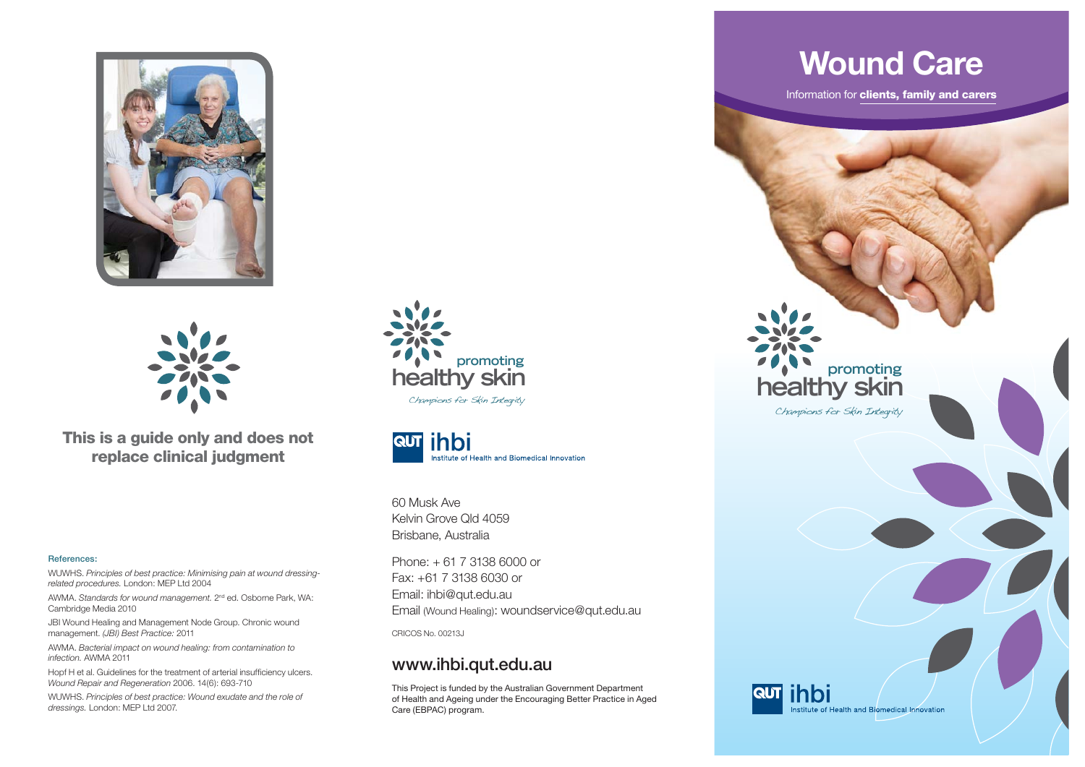



**This is a guide only and does not replace clinical judgment**

#### **References:**

WUWHS. *Principles of best practice: Minimising pain at wound dressingrelated procedures.* London: MEP Ltd 2004

AWMA. *Standards for wound management.* 2nd ed. Osborne Park, WA: Cambridge Media 2010

JBI Wound Healing and Management Node Group. Chronic wound management. *(JBI) Best Practice:* 2011

AWMA. *Bacterial impact on wound healing: from contamination to infection.* AWMA 2011

Hopf H et al. Guidelines for the treatment of arterial insufficiency ulcers. *Wound Repair and Regeneration* 2006. 14(6): 693-710

WUWHS. *Principles of best practice: Wound exudate and the role of dressings.* London: MEP Ltd 2007.





60 Musk AveKelvin Grove Qld 4059 Brisbane, Australia

Phone: + 61 7 3138 6000 or Fax: +61 7 3138 6030 or Email: ihbi@qut.edu.au Email (Wound Healing): woundservice@qut.edu.au

CRICOS No. 00213J

#### **www.ihbi.qut.edu.au**

This Project is funded by the Australian Government Department of Health and Ageing under the Encouraging Better Practice in Aged Care (EBPAC) program.

## **Wound Care**

Information for **clients, family and carers**